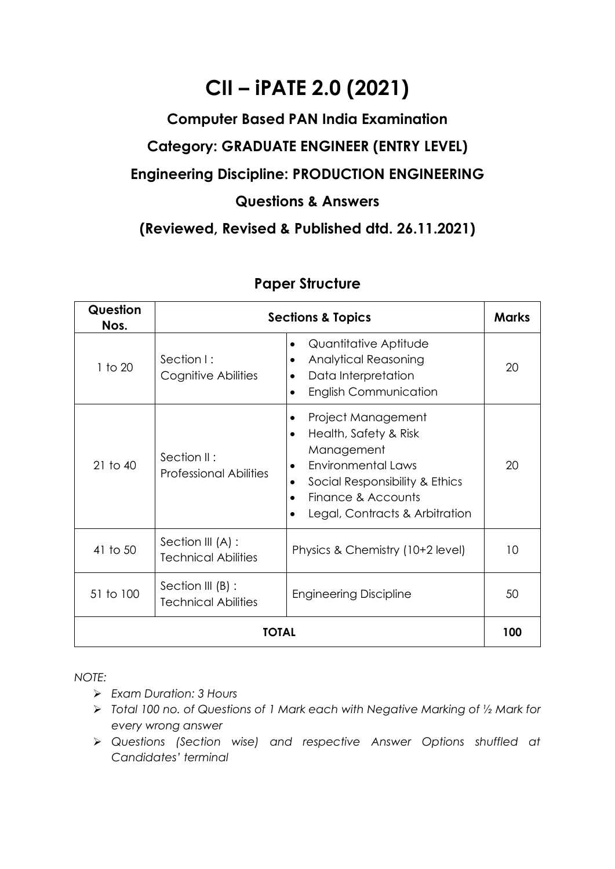## **CII – iPATE 2.0 (2021)**

## **Computer Based PAN India Examination Category: GRADUATE ENGINEER (ENTRY LEVEL) Engineering Discipline: PRODUCTION ENGINEERING Questions & Answers**

**(Reviewed, Revised & Published dtd. 26.11.2021)**

| Question<br>Nos. | <b>Sections &amp; Topics</b>                    |                                                                                                                                                                                                                              |    |  |
|------------------|-------------------------------------------------|------------------------------------------------------------------------------------------------------------------------------------------------------------------------------------------------------------------------------|----|--|
| 1 to 20          | Section I:<br>Cognitive Abilities               | Quantitative Aptitude<br>$\bullet$<br><b>Analytical Reasoning</b><br>٠<br>Data Interpretation<br><b>English Communication</b>                                                                                                | 20 |  |
| $21$ to $40$     | Section II:<br><b>Professional Abilities</b>    | Project Management<br>٠<br>Health, Safety & Risk<br>$\bullet$<br>Management<br><b>Environmental Laws</b><br>$\bullet$<br>Social Responsibility & Ethics<br>Finance & Accounts<br>$\bullet$<br>Legal, Contracts & Arbitration | 20 |  |
| 41 to 50         | Section III (A) :<br><b>Technical Abilities</b> | Physics & Chemistry (10+2 level)                                                                                                                                                                                             | 10 |  |
| 51 to 100        | Section III (B) :<br><b>Technical Abilities</b> | <b>Engineering Discipline</b>                                                                                                                                                                                                | 50 |  |
| TOTAL            |                                                 |                                                                                                                                                                                                                              |    |  |

## **Paper Structure**

*NOTE:*

- ➢ *Exam Duration: 3 Hours*
- ➢ *Total 100 no. of Questions of 1 Mark each with Negative Marking of ½ Mark for every wrong answer*
- ➢ *Questions (Section wise) and respective Answer Options shuffled at Candidates' terminal*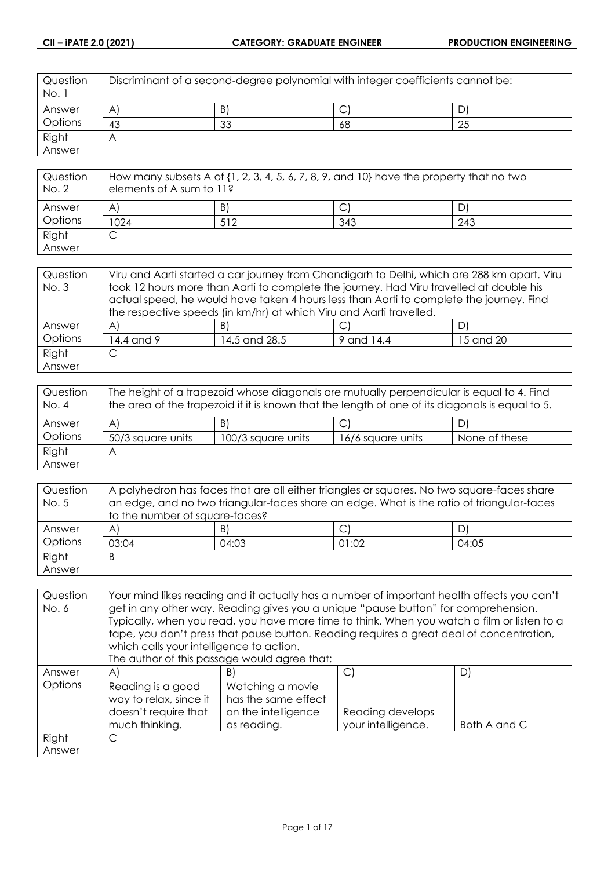| Question<br>No. 1 | Discriminant of a second-degree polynomial with integer coefficients cannot be: |    |    |    |
|-------------------|---------------------------------------------------------------------------------|----|----|----|
| Answer            | A                                                                               | B) | ◡  |    |
| Options           | 43                                                                              | 33 | 68 | 25 |
| Right             | Α                                                                               |    |    |    |
| Answer            |                                                                                 |    |    |    |

| Question<br>No. 2 | How many subsets A of $\{1, 2, 3, 4, 5, 6, 7, 8, 9,$ and $10\}$ have the property that no two<br>elements of A sum to 11? |     |     |     |
|-------------------|---------------------------------------------------------------------------------------------------------------------------|-----|-----|-----|
| Answer            | A                                                                                                                         | B)  |     |     |
| Options           | 1024                                                                                                                      | 512 | 343 | 243 |
| Right             |                                                                                                                           |     |     |     |
| Answer            |                                                                                                                           |     |     |     |

| Question | Viru and Aarti started a car journey from Chandigarh to Delhi, which are 288 km apart. Viru |                                                                                         |            |           |
|----------|---------------------------------------------------------------------------------------------|-----------------------------------------------------------------------------------------|------------|-----------|
| No. 3    | took 12 hours more than Aarti to complete the journey. Had Viru travelled at double his     |                                                                                         |            |           |
|          |                                                                                             | actual speed, he would have taken 4 hours less than Aarti to complete the journey. Find |            |           |
|          |                                                                                             | the respective speeds (in km/hr) at which Viru and Aarti travelled.                     |            |           |
| Answer   | $\mathsf{A}$                                                                                | B)                                                                                      |            | DI        |
| Options  | 14.4 and 9                                                                                  | 14.5 and 28.5                                                                           | 9 and 14.4 | 15 and 20 |
| Right    | С                                                                                           |                                                                                         |            |           |
| Answer   |                                                                                             |                                                                                         |            |           |

| Question<br>No. 4 | The height of a trapezoid whose diagonals are mutually perpendicular is equal to 4. Find<br>the area of the trapezoid if it is known that the length of one of its diagonals is equal to 5. |                    |                   |               |
|-------------------|---------------------------------------------------------------------------------------------------------------------------------------------------------------------------------------------|--------------------|-------------------|---------------|
| Answer            | A                                                                                                                                                                                           | B)                 | ◡                 | D)            |
| Options           | 50/3 square units                                                                                                                                                                           | 100/3 square units | 16/6 square units | None of these |
| Right             | А                                                                                                                                                                                           |                    |                   |               |
| Answer            |                                                                                                                                                                                             |                    |                   |               |

| Question | A polyhedron has faces that are all either triangles or squares. No two square-faces share |       |       |       |
|----------|--------------------------------------------------------------------------------------------|-------|-------|-------|
| No. 5    | an edge, and no two triangular-faces share an edge. What is the ratio of triangular-faces  |       |       |       |
|          | to the number of square-faces?                                                             |       |       |       |
| Answer   | $\mathsf{A}$                                                                               | B)    | ◡     | D)    |
| Options  | 03:04                                                                                      | 04:03 | 01:02 | 04:05 |
| Right    | B                                                                                          |       |       |       |
| Answer   |                                                                                            |       |       |       |

| Question | Your mind likes reading and it actually has a number of important health affects you can't |                                                                                             |                    |              |
|----------|--------------------------------------------------------------------------------------------|---------------------------------------------------------------------------------------------|--------------------|--------------|
| No. 6    | get in any other way. Reading gives you a unique "pause button" for comprehension.         |                                                                                             |                    |              |
|          |                                                                                            | Typically, when you read, you have more time to think. When you watch a film or listen to a |                    |              |
|          |                                                                                            | tape, you don't press that pause button. Reading requires a great deal of concentration,    |                    |              |
|          | which calls your intelligence to action.                                                   |                                                                                             |                    |              |
|          |                                                                                            | The author of this passage would agree that:                                                |                    |              |
| Answer   | $\mathsf{A}$                                                                               | B)                                                                                          | C)                 | D)           |
| Options  | Reading is a good                                                                          | Watching a movie                                                                            |                    |              |
|          | way to relax, since it                                                                     | has the same effect                                                                         |                    |              |
|          | doesn't require that                                                                       | on the intelligence                                                                         | Reading develops   |              |
|          | much thinking.                                                                             | as reading.                                                                                 | your intelligence. | Both A and C |
| Right    | C                                                                                          |                                                                                             |                    |              |
| Answer   |                                                                                            |                                                                                             |                    |              |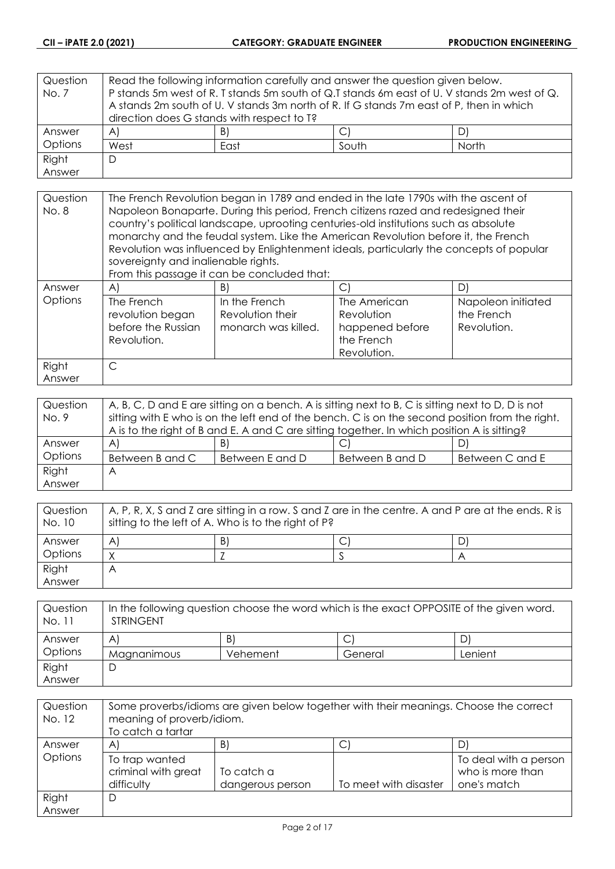| Question | Read the following information carefully and answer the question given below.               |    |  |  |
|----------|---------------------------------------------------------------------------------------------|----|--|--|
| No. 7    | P stands 5m west of R. T stands 5m south of Q.T stands 6m east of U. V stands 2m west of Q. |    |  |  |
|          | A stands 2m south of U. V stands 3m north of R. If G stands 7m east of P, then in which     |    |  |  |
|          | direction does G stands with respect to T?                                                  |    |  |  |
| Answer   | A)                                                                                          | B) |  |  |
| Options  | West<br>South<br>North<br>East                                                              |    |  |  |
| Right    | D                                                                                           |    |  |  |
| Answer   |                                                                                             |    |  |  |

| Question<br>No. 8 | The French Revolution began in 1789 and ended in the late 1790s with the ascent of<br>Napoleon Bonaparte. During this period, French citizens razed and redesigned their<br>country's political landscape, uprooting centuries-old institutions such as absolute<br>monarchy and the feudal system. Like the American Revolution before it, the French<br>Revolution was influenced by Enlightenment ideals, particularly the concepts of popular<br>sovereignty and inalienable rights.<br>From this passage it can be concluded that: |                                                          |                                                                            |                                                 |
|-------------------|-----------------------------------------------------------------------------------------------------------------------------------------------------------------------------------------------------------------------------------------------------------------------------------------------------------------------------------------------------------------------------------------------------------------------------------------------------------------------------------------------------------------------------------------|----------------------------------------------------------|----------------------------------------------------------------------------|-------------------------------------------------|
| Answer            | AI                                                                                                                                                                                                                                                                                                                                                                                                                                                                                                                                      | B)                                                       | C.                                                                         | D)                                              |
| Options           | The French<br>revolution began<br>before the Russian<br>Revolution.                                                                                                                                                                                                                                                                                                                                                                                                                                                                     | In the French<br>Revolution their<br>monarch was killed. | The American<br>Revolution<br>happened before<br>the French<br>Revolution. | Napoleon initiated<br>the French<br>Revolution. |
| Right             | C                                                                                                                                                                                                                                                                                                                                                                                                                                                                                                                                       |                                                          |                                                                            |                                                 |
| Answer            |                                                                                                                                                                                                                                                                                                                                                                                                                                                                                                                                         |                                                          |                                                                            |                                                 |

| Question | A, B, C, D and E are sitting on a bench. A is sitting next to B, C is sitting next to D, D is not |                 |                 |                 |
|----------|---------------------------------------------------------------------------------------------------|-----------------|-----------------|-----------------|
| No. 9    | sitting with E who is on the left end of the bench. C is on the second position from the right.   |                 |                 |                 |
|          | A is to the right of B and E. A and C are sitting together. In which position A is sitting?       |                 |                 |                 |
| Answer   | $\forall$                                                                                         | B)              | ◡               | D)              |
| Options  | Between B and C                                                                                   | Between E and D | Between B and D | Between C and E |
| Right    | A                                                                                                 |                 |                 |                 |
| Answer   |                                                                                                   |                 |                 |                 |

| Question<br>No. 10 | $\mid$ A, P, R, X, S and Z are sitting in a row. S and Z are in the centre. A and P are at the ends. R is<br>sitting to the left of A. Who is to the right of P? |    |  |  |
|--------------------|------------------------------------------------------------------------------------------------------------------------------------------------------------------|----|--|--|
| Answer             | A                                                                                                                                                                | B) |  |  |
| Options            |                                                                                                                                                                  |    |  |  |
| Right              | Α                                                                                                                                                                |    |  |  |
| Answer             |                                                                                                                                                                  |    |  |  |

| Question<br>No. 11 | In the following question choose the word which is the exact OPPOSITE of the given word.<br><b>STRINGENT</b> |          |         |         |
|--------------------|--------------------------------------------------------------------------------------------------------------|----------|---------|---------|
| Answer             | A                                                                                                            | B)       |         |         |
| Options            | Magnanimous                                                                                                  | Vehement | General | Lenient |
| Right              |                                                                                                              |          |         |         |
| Answer             |                                                                                                              |          |         |         |

| Question<br>No. 12 | Some proverbs/idioms are given below together with their meanings. Choose the correct<br>meaning of proverb/idiom.<br>To catch a tartar |                                |                       |                                                          |
|--------------------|-----------------------------------------------------------------------------------------------------------------------------------------|--------------------------------|-----------------------|----------------------------------------------------------|
| Answer             | A                                                                                                                                       | B)                             | ◡                     |                                                          |
| Options            | To trap wanted<br>criminal with great<br>difficulty                                                                                     | To catch a<br>dangerous person | To meet with disaster | To deal with a person<br>who is more than<br>one's match |
| Right              | D                                                                                                                                       |                                |                       |                                                          |
| Answer             |                                                                                                                                         |                                |                       |                                                          |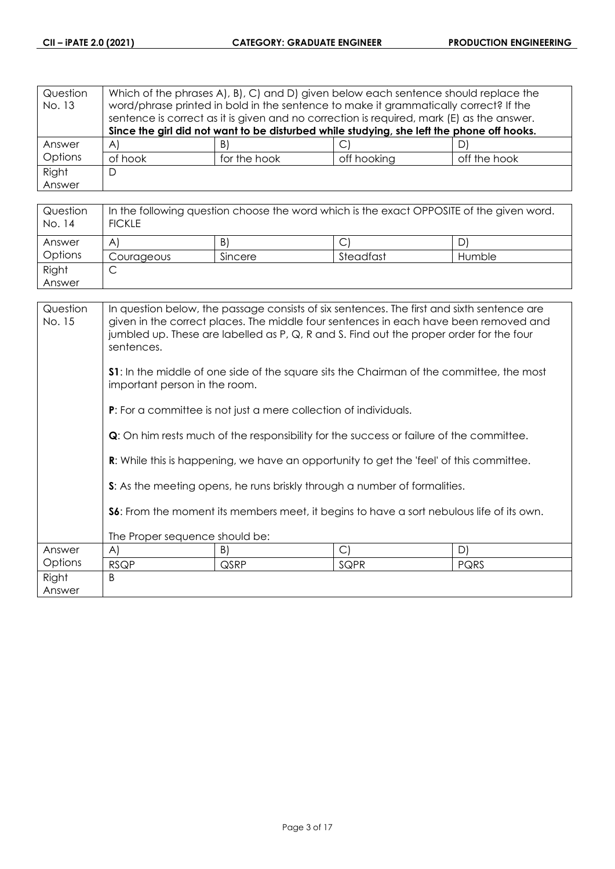| Question | Which of the phrases A, B, C, and D, given below each sentence should replace the |              |                                                                                           |              |
|----------|-----------------------------------------------------------------------------------|--------------|-------------------------------------------------------------------------------------------|--------------|
| No. 13   |                                                                                   |              | word/phrase printed in bold in the sentence to make it grammatically correct? If the      |              |
|          |                                                                                   |              | sentence is correct as it is given and no correction is required, mark (E) as the answer. |              |
|          |                                                                                   |              | Since the girl did not want to be disturbed while studying, she left the phone off hooks. |              |
| Answer   | $\forall$                                                                         | B)           |                                                                                           | D)           |
| Options  | of hook                                                                           | for the hook | off hooking                                                                               | off the hook |
| Right    | D                                                                                 |              |                                                                                           |              |
| Answer   |                                                                                   |              |                                                                                           |              |

| Question<br>No. 14 | In the following question choose the word which is the exact OPPOSITE of the given word.<br><b>FICKLE</b> |         |           |        |
|--------------------|-----------------------------------------------------------------------------------------------------------|---------|-----------|--------|
| Answer             | A                                                                                                         | B)      |           | D      |
| Options            | Courageous                                                                                                | Sincere | Steadfast | Humble |
| Right              | ◡                                                                                                         |         |           |        |
| Answer             |                                                                                                           |         |           |        |

| Question<br>No. 15 | In question below, the passage consists of six sentences. The first and sixth sentence are<br>given in the correct places. The middle four sentences in each have been removed and<br>jumbled up. These are labelled as P, Q, R and S. Find out the proper order for the four<br>sentences. |                                                                         |                                                                                                |             |
|--------------------|---------------------------------------------------------------------------------------------------------------------------------------------------------------------------------------------------------------------------------------------------------------------------------------------|-------------------------------------------------------------------------|------------------------------------------------------------------------------------------------|-------------|
|                    | <b>S1</b> : In the middle of one side of the square sits the Chairman of the committee, the most<br>important person in the room.                                                                                                                                                           |                                                                         |                                                                                                |             |
|                    |                                                                                                                                                                                                                                                                                             | <b>P:</b> For a committee is not just a mere collection of individuals. |                                                                                                |             |
|                    | <b>Q</b> : On him rests much of the responsibility for the success or failure of the committee.                                                                                                                                                                                             |                                                                         |                                                                                                |             |
|                    |                                                                                                                                                                                                                                                                                             |                                                                         | <b>R:</b> While this is happening, we have an opportunity to get the 'feel' of this committee. |             |
|                    |                                                                                                                                                                                                                                                                                             |                                                                         | S: As the meeting opens, he runs briskly through a number of formalities.                      |             |
|                    | S6: From the moment its members meet, it begins to have a sort nebulous life of its own.                                                                                                                                                                                                    |                                                                         |                                                                                                |             |
|                    | The Proper sequence should be:                                                                                                                                                                                                                                                              |                                                                         |                                                                                                |             |
| Answer             | $\mathsf{A}$                                                                                                                                                                                                                                                                                | B)                                                                      | C                                                                                              | D)          |
| Options            | <b>RSQP</b>                                                                                                                                                                                                                                                                                 | <b>QSRP</b>                                                             | SQPR                                                                                           | <b>PQRS</b> |
| Right<br>Answer    | B                                                                                                                                                                                                                                                                                           |                                                                         |                                                                                                |             |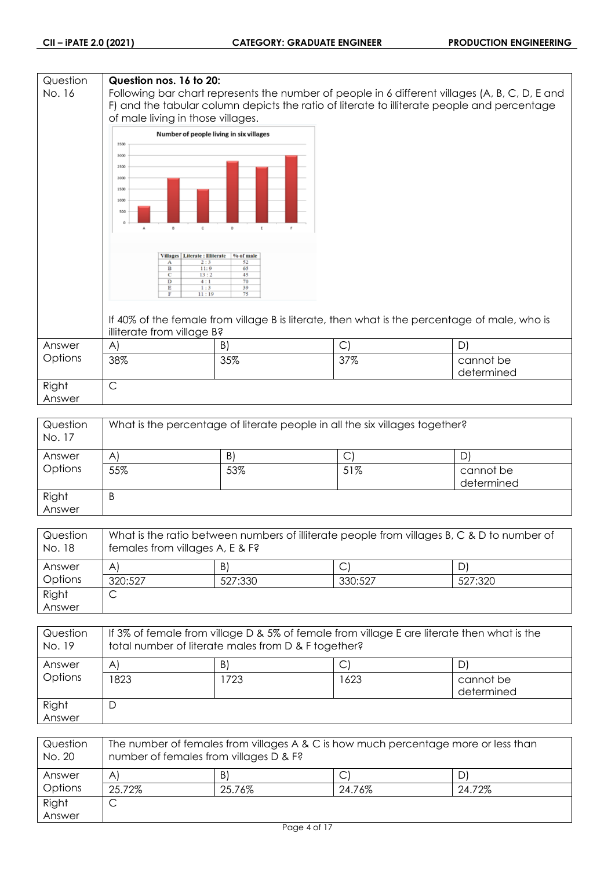## **Question Question nos. 16 to 20:** No. 16 Following bar chart represents the number of people in 6 different villages (A, B, C, D, E and F) and the tabular column depicts the ratio of literate to illiterate people and percentage of male living in those villages. Number of people living in six villages 3500 3000 2500 2000 1500  $1000$ 50 Villages | Literate : Illiterate | % of male Ť  $\frac{1}{13}$  $\overline{11}$ If 40% of the female from village B is literate, then what is the percentage of male, who is illiterate from village B? Answer A)  $|B|$   $|C|$   $|D|$ **Options** 38% 35% 37% cannot be determined Right C Answer

| Question<br>No. 17 | What is the percentage of literate people in all the six villages together? |     |     |                         |
|--------------------|-----------------------------------------------------------------------------|-----|-----|-------------------------|
| Answer             | AI                                                                          | B)  | C   | D                       |
| Options            | 55%                                                                         | 53% | 51% | cannot be<br>determined |
| Right<br>Answer    | B                                                                           |     |     |                         |

| Question<br>No. 18 | What is the ratio between numbers of illiterate people from villages B, C & D to number of<br>females from villages A, E & F? |         |         |         |
|--------------------|-------------------------------------------------------------------------------------------------------------------------------|---------|---------|---------|
| Answer             | A                                                                                                                             | B)      |         | D)      |
| Options            | 320:527                                                                                                                       | 527:330 | 330:527 | 527:320 |
| Right              |                                                                                                                               |         |         |         |
| Answer             |                                                                                                                               |         |         |         |

| Question<br>No. 19 | If 3% of female from village D & 5% of female from village E are literate then what is the<br>total number of literate males from D & F together? |     |      |                         |
|--------------------|---------------------------------------------------------------------------------------------------------------------------------------------------|-----|------|-------------------------|
| Answer             | $\mathsf{A}^{\prime}$                                                                                                                             | B)  |      |                         |
| Options            | 1823                                                                                                                                              | 723 | 1623 | cannot be<br>determined |
| Right<br>Answer    | Ľ                                                                                                                                                 |     |      |                         |

| Question<br>No. 20 | The number of females from villages A & C is how much percentage more or less than<br>number of females from villages D & F? |        |        |        |
|--------------------|------------------------------------------------------------------------------------------------------------------------------|--------|--------|--------|
| Answer             | $\mathsf{A}$                                                                                                                 | B)     |        |        |
| Options            | 25.72%                                                                                                                       | 25.76% | 24.76% | 24.72% |
| Right              | ٮ                                                                                                                            |        |        |        |
| Answer             |                                                                                                                              |        |        |        |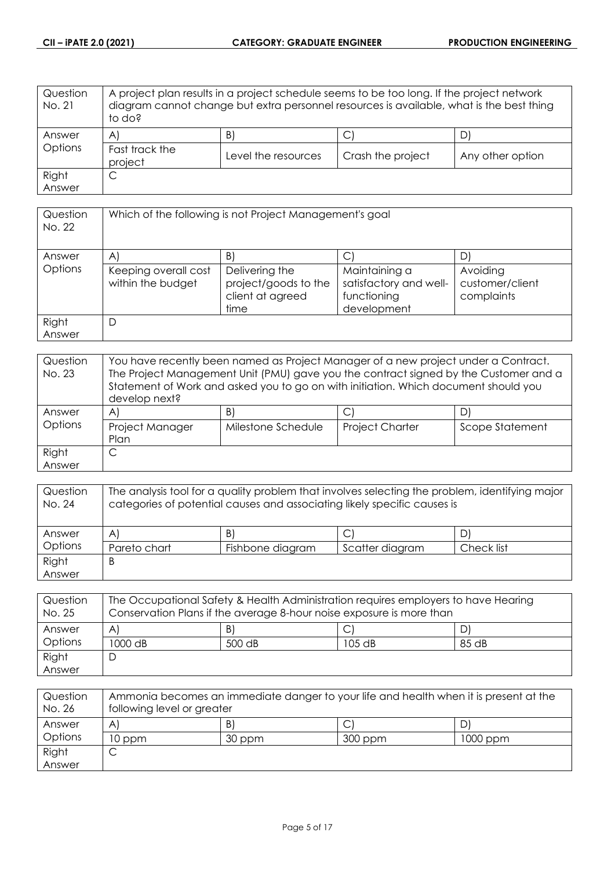| Question<br>No. 21 | A project plan results in a project schedule seems to be too long. If the project network<br>diagram cannot change but extra personnel resources is available, what is the best thing<br>to do? |                     |                   |                  |
|--------------------|-------------------------------------------------------------------------------------------------------------------------------------------------------------------------------------------------|---------------------|-------------------|------------------|
| Answer<br>Options  | $\mathsf{A}$                                                                                                                                                                                    | B)                  | С                 |                  |
|                    | Fast track the<br>project                                                                                                                                                                       | Level the resources | Crash the project | Any other option |
| Right              | С                                                                                                                                                                                               |                     |                   |                  |
| Answer             |                                                                                                                                                                                                 |                     |                   |                  |

| Question<br>No. 22 | Which of the following is not Project Management's goal |                                                                    |                                                                       |                                           |
|--------------------|---------------------------------------------------------|--------------------------------------------------------------------|-----------------------------------------------------------------------|-------------------------------------------|
| Answer             | $\mathsf{A}$                                            | $\vert B \vert$                                                    |                                                                       | D                                         |
| Options            | Keeping overall cost<br>within the budget               | Delivering the<br>project/goods to the<br>client at agreed<br>time | Maintaining a<br>satisfactory and well-<br>functioning<br>development | Avoiding<br>customer/client<br>complaints |
| Right<br>Answer    | D                                                       |                                                                    |                                                                       |                                           |

| Question<br>No. 23 | You have recently been named as Project Manager of a new project under a Contract.<br>The Project Management Unit (PMU) gave you the contract signed by the Customer and a<br>Statement of Work and asked you to go on with initiation. Which document should you<br>develop next? |                    |                        |                 |
|--------------------|------------------------------------------------------------------------------------------------------------------------------------------------------------------------------------------------------------------------------------------------------------------------------------|--------------------|------------------------|-----------------|
| Answer             | A                                                                                                                                                                                                                                                                                  | B)                 |                        |                 |
| Options            | Project Manager<br>Plan                                                                                                                                                                                                                                                            | Milestone Schedule | <b>Project Charter</b> | Scope Statement |
| Right              |                                                                                                                                                                                                                                                                                    |                    |                        |                 |
| Answer             |                                                                                                                                                                                                                                                                                    |                    |                        |                 |

| Question<br>No. 24 | The analysis tool for a quality problem that involves selecting the problem, identifying major<br>categories of potential causes and associating likely specific causes is |                  |                 |            |
|--------------------|----------------------------------------------------------------------------------------------------------------------------------------------------------------------------|------------------|-----------------|------------|
| Answer             | $\mathsf{A}$                                                                                                                                                               | B)               |                 |            |
| Options            | Pareto chart                                                                                                                                                               | Fishbone diagram | Scatter diagram | Check list |
| Right              | B                                                                                                                                                                          |                  |                 |            |
| Answer             |                                                                                                                                                                            |                  |                 |            |

| Question<br>No. 25 | The Occupational Safety & Health Administration requires employers to have Hearing<br>Conservation Plans if the average 8-hour noise exposure is more than |        |          |       |
|--------------------|------------------------------------------------------------------------------------------------------------------------------------------------------------|--------|----------|-------|
| Answer             | A                                                                                                                                                          | B)     |          |       |
| Options            | 1000 dB                                                                                                                                                    | 500 dB | $105$ dB | 85 dB |
| Right              |                                                                                                                                                            |        |          |       |
| Answer             |                                                                                                                                                            |        |          |       |

| Question<br>No. 26 | Ammonia becomes an immediate danger to your life and health when it is present at the<br>following level or greater |        |         |          |
|--------------------|---------------------------------------------------------------------------------------------------------------------|--------|---------|----------|
| Answer             | A                                                                                                                   | B      |         |          |
| Options            | 10 ppm                                                                                                              | 30 ppm | 300 ppm | 1000 ppm |
| Right              |                                                                                                                     |        |         |          |
| Answer             |                                                                                                                     |        |         |          |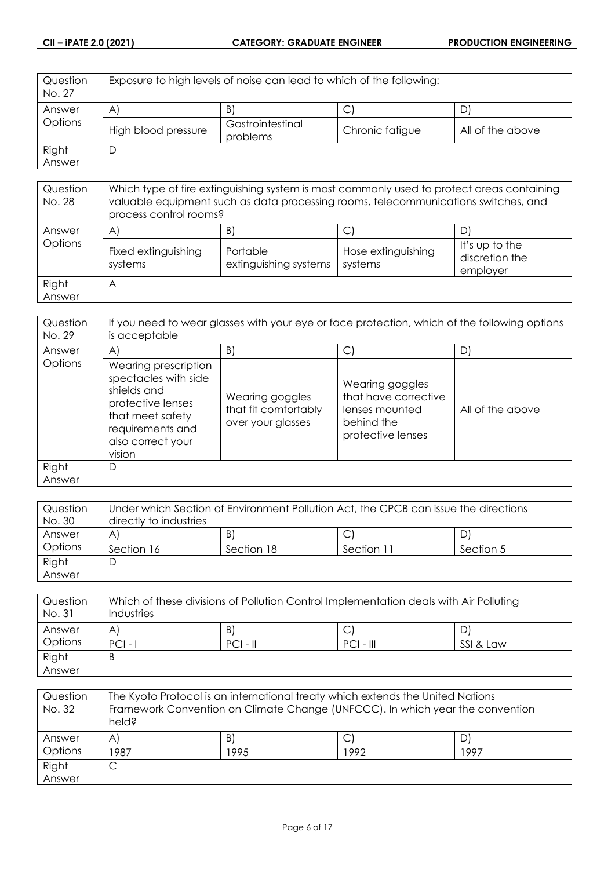| Question<br>No. 27 | Exposure to high levels of noise can lead to which of the following: |                              |                 |                  |
|--------------------|----------------------------------------------------------------------|------------------------------|-----------------|------------------|
| Answer             | $\mathsf{A}$                                                         | B)                           | U               |                  |
| Options            | High blood pressure                                                  | Gastrointestinal<br>problems | Chronic fatigue | All of the above |
| Right              |                                                                      |                              |                 |                  |
| Answer             |                                                                      |                              |                 |                  |

| Question<br>No. 28 | Which type of fire extinguishing system is most commonly used to protect areas containing<br>valuable equipment such as data processing rooms, telecommunications switches, and<br>process control rooms? |                                        |                                    |                                              |
|--------------------|-----------------------------------------------------------------------------------------------------------------------------------------------------------------------------------------------------------|----------------------------------------|------------------------------------|----------------------------------------------|
| Answer<br>Options  | $\mathsf{A}$<br>Fixed extinguishing<br>systems                                                                                                                                                            | B<br>Portable<br>extinguishing systems | C<br>Hose extinguishing<br>systems | It's up to the<br>discretion the<br>employer |
| Right<br>Answer    | A                                                                                                                                                                                                         |                                        |                                    |                                              |

| Question<br>No. 29 | If you need to wear glasses with your eye or face protection, which of the following options<br>is acceptable                                           |                                                              |                                                                                              |                  |
|--------------------|---------------------------------------------------------------------------------------------------------------------------------------------------------|--------------------------------------------------------------|----------------------------------------------------------------------------------------------|------------------|
| Answer             | $\mathsf{A}$                                                                                                                                            | B)                                                           | С                                                                                            | D                |
| <b>Options</b>     | Wearing prescription<br>spectacles with side<br>shields and<br>protective lenses<br>that meet safety<br>requirements and<br>also correct your<br>vision | Wearing goggles<br>that fit comfortably<br>over your glasses | Wearing goggles<br>that have corrective<br>lenses mounted<br>behind the<br>protective lenses | All of the above |
| Right<br>Answer    | D                                                                                                                                                       |                                                              |                                                                                              |                  |

| Question | Under which Section of Environment Pollution Act, the CPCB can issue the directions |            |            |           |
|----------|-------------------------------------------------------------------------------------|------------|------------|-----------|
| No. 30   | directly to industries                                                              |            |            |           |
| Answer   | A                                                                                   | B)         |            | DI        |
| Options  | Section 16                                                                          | Section 18 | Section 11 | Section 5 |
| Right    | C                                                                                   |            |            |           |
| Answer   |                                                                                     |            |            |           |

| Question<br>No. 31 | Which of these divisions of Pollution Control Implementation deals with Air Polluting<br>Industries |            |             |           |
|--------------------|-----------------------------------------------------------------------------------------------------|------------|-------------|-----------|
| Answer             | A                                                                                                   | B)         |             |           |
| Options            | $PCI -$                                                                                             | $PCI - II$ | $PCI - III$ | SSI & Law |
| Right              | B                                                                                                   |            |             |           |
| Answer             |                                                                                                     |            |             |           |

| Question<br>No. 32 | The Kyoto Protocol is an international treaty which extends the United Nations<br>Framework Convention on Climate Change (UNFCCC). In which year the convention<br>held? |      |      |      |
|--------------------|--------------------------------------------------------------------------------------------------------------------------------------------------------------------------|------|------|------|
| Answer             | $\mathsf{A}^{\mathsf{c}}$                                                                                                                                                | B    | С    | D    |
| Options            | 1987                                                                                                                                                                     | 1995 | 1992 | 1997 |
| Right              |                                                                                                                                                                          |      |      |      |
| Answer             |                                                                                                                                                                          |      |      |      |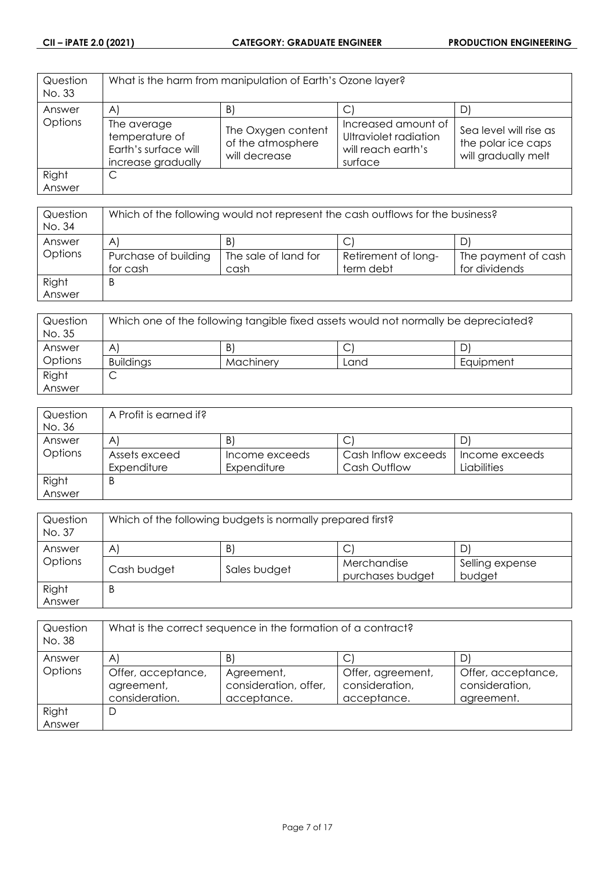| Question<br>No. 33 | What is the harm from manipulation of Earth's Ozone layer?                  |                                                          |                                                                               |                                                                     |
|--------------------|-----------------------------------------------------------------------------|----------------------------------------------------------|-------------------------------------------------------------------------------|---------------------------------------------------------------------|
| Answer             | $\mathsf{A}$                                                                | B.                                                       |                                                                               |                                                                     |
| Options            | The average<br>temperature of<br>Earth's surface will<br>increase gradually | The Oxygen content<br>of the atmosphere<br>will decrease | Increased amount of<br>Ultraviolet radiation<br>will reach earth's<br>surface | Sea level will rise as<br>the polar ice caps<br>will gradually melt |
| Right              | C                                                                           |                                                          |                                                                               |                                                                     |
| Answer             |                                                                             |                                                          |                                                                               |                                                                     |

| Question<br>No. 34 | Which of the following would not represent the cash outflows for the business? |                      |                     |                     |
|--------------------|--------------------------------------------------------------------------------|----------------------|---------------------|---------------------|
| Answer             | $\mathsf{A}^{\prime}$                                                          | B                    |                     |                     |
| Options            | Purchase of building                                                           | The sale of land for | Retirement of long- | The payment of cash |
|                    | for cash                                                                       | cash                 | term debt           | for dividends       |
| Right              | B                                                                              |                      |                     |                     |
| Answer             |                                                                                |                      |                     |                     |

| Question<br>No. 35 | Which one of the following tangible fixed assets would not normally be depreciated? |           |      |           |
|--------------------|-------------------------------------------------------------------------------------|-----------|------|-----------|
| Answer             | A                                                                                   | B         | ◡    | D         |
| Options            | <b>Buildings</b>                                                                    | Machinery | Land | Equipment |
| Right              | ◡                                                                                   |           |      |           |
| Answer             |                                                                                     |           |      |           |

| Question | A Profit is earned if? |                |                     |                |
|----------|------------------------|----------------|---------------------|----------------|
| No. 36   |                        |                |                     |                |
| Answer   | A                      | B.             | ◡                   |                |
| Options  | Assets exceed          | Income exceeds | Cash Inflow exceeds | Income exceeds |
|          | Expenditure            | Expenditure    | Cash Outflow        | Liabilities    |
| Right    | B                      |                |                     |                |
| Answer   |                        |                |                     |                |

| Question<br>No. 37 | Which of the following budgets is normally prepared first? |              |                  |                 |
|--------------------|------------------------------------------------------------|--------------|------------------|-----------------|
| Answer             | B)<br>D<br>$\mathsf{A}$                                    |              |                  |                 |
| Options            |                                                            |              | ◡<br>Merchandise | Selling expense |
|                    | Cash budget                                                | Sales budget | purchases budget | budget          |
| Right              | B                                                          |              |                  |                 |
| Answer             |                                                            |              |                  |                 |

| Question<br>No. 38 | What is the correct sequence in the formation of a contract? |                                                    |                                                    |                                                    |
|--------------------|--------------------------------------------------------------|----------------------------------------------------|----------------------------------------------------|----------------------------------------------------|
| Answer             | $\mathsf{A}^{\prime}$                                        | B                                                  |                                                    | D                                                  |
| Options            | Offer, acceptance,<br>agreement,<br>consideration.           | Agreement,<br>consideration, offer,<br>acceptance. | Offer, agreement,<br>consideration,<br>acceptance. | Offer, acceptance,<br>consideration,<br>agreement. |
| Right              | D                                                            |                                                    |                                                    |                                                    |
| Answer             |                                                              |                                                    |                                                    |                                                    |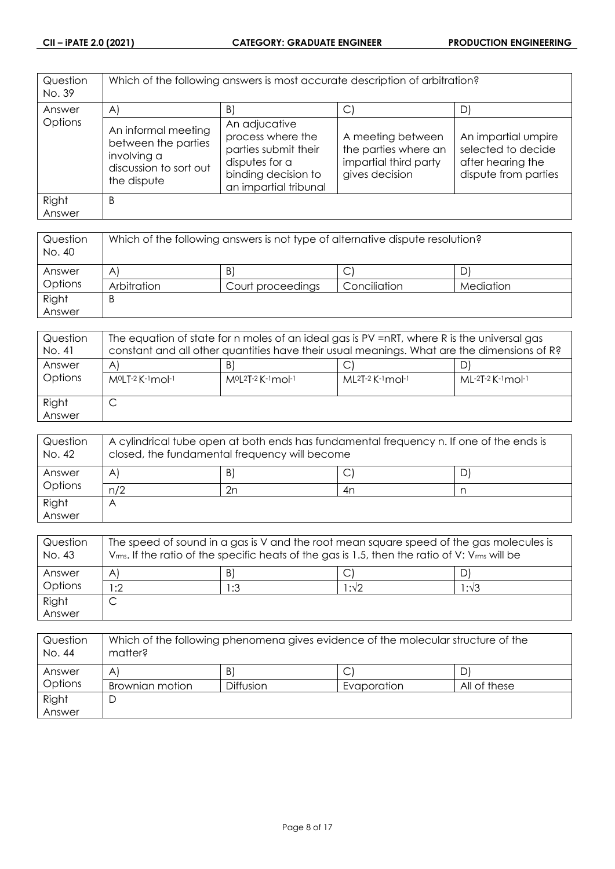| Question<br>No. 39 | Which of the following answers is most accurate description of arbitration?                        |                                                                                                                              |                                                                                      |                                                                                        |
|--------------------|----------------------------------------------------------------------------------------------------|------------------------------------------------------------------------------------------------------------------------------|--------------------------------------------------------------------------------------|----------------------------------------------------------------------------------------|
| Answer             | $\mathsf{A}$                                                                                       | $\vert B \vert$                                                                                                              | C.                                                                                   | D)                                                                                     |
| Options            | An informal meeting<br>between the parties<br>involving a<br>discussion to sort out<br>the dispute | An adjucative<br>process where the<br>parties submit their<br>disputes for a<br>binding decision to<br>an impartial tribunal | A meeting between<br>the parties where an<br>impartial third party<br>gives decision | An impartial umpire<br>selected to decide<br>after hearing the<br>dispute from parties |
| Right<br>Answer    | B                                                                                                  |                                                                                                                              |                                                                                      |                                                                                        |

| Question<br>No. 40 | Which of the following answers is not type of alternative dispute resolution? |                   |              |           |
|--------------------|-------------------------------------------------------------------------------|-------------------|--------------|-----------|
| Answer             | $\mathsf{A}^{\prime}$                                                         | B)                | ◡            |           |
| Options            | Arbitration                                                                   | Court proceedings | Conciliation | Mediation |
| Right              | B                                                                             |                   |              |           |
| Answer             |                                                                               |                   |              |           |

| Question<br>No. 41 | The equation of state for n moles of an ideal gas is PV =nRT, where R is the universal gas<br>constant and all other quantities have their usual meanings. What are the dimensions of R? |                                  |                             |                     |
|--------------------|------------------------------------------------------------------------------------------------------------------------------------------------------------------------------------------|----------------------------------|-----------------------------|---------------------|
| Answer<br>Options  | A<br>M <sup>o</sup> LT-2 K-1mol-1                                                                                                                                                        | B<br>$M^{0}[2T-2K^{-1}mol^{-1}]$ | $ML^{2}T-2$ K $-1$ mol $-1$ | $ML-2T-2$ K-1 mol-1 |
| Right<br>Answer    | ◡                                                                                                                                                                                        |                                  |                             |                     |

| Question<br>No. 42 | A cylindrical tube open at both ends has fundamental frequency n. If one of the ends is<br>closed, the fundamental frequency will become |    |    |   |
|--------------------|------------------------------------------------------------------------------------------------------------------------------------------|----|----|---|
| Answer             | A                                                                                                                                        | B) | ◡  | D |
| Options            | n/2                                                                                                                                      | 2n | 4n |   |
| Right              |                                                                                                                                          |    |    |   |
| Answer             |                                                                                                                                          |    |    |   |

| Question<br>No. 43 | The speed of sound in a gas is V and the root mean square speed of the gas molecules is<br>$V_{rms}$ . If the ratio of the specific heats of the gas is 1.5, then the ratio of V: $V_{rms}$ will be |     |      |      |
|--------------------|-----------------------------------------------------------------------------------------------------------------------------------------------------------------------------------------------------|-----|------|------|
| Answer             | $\mathsf{A}$                                                                                                                                                                                        | B)  |      |      |
| Options            | 1:2                                                                                                                                                                                                 | 1:3 | l∶√2 | 1:√3 |
| Right              | ◡                                                                                                                                                                                                   |     |      |      |
| Answer             |                                                                                                                                                                                                     |     |      |      |

| Question<br>No. 44 | Which of the following phenomena gives evidence of the molecular structure of the<br>matter? |                  |             |              |
|--------------------|----------------------------------------------------------------------------------------------|------------------|-------------|--------------|
| Answer             | Α                                                                                            | B)               |             |              |
| Options            | Brownian motion                                                                              | <b>Diffusion</b> | Evaporation | All of these |
| Right              |                                                                                              |                  |             |              |
| Answer             |                                                                                              |                  |             |              |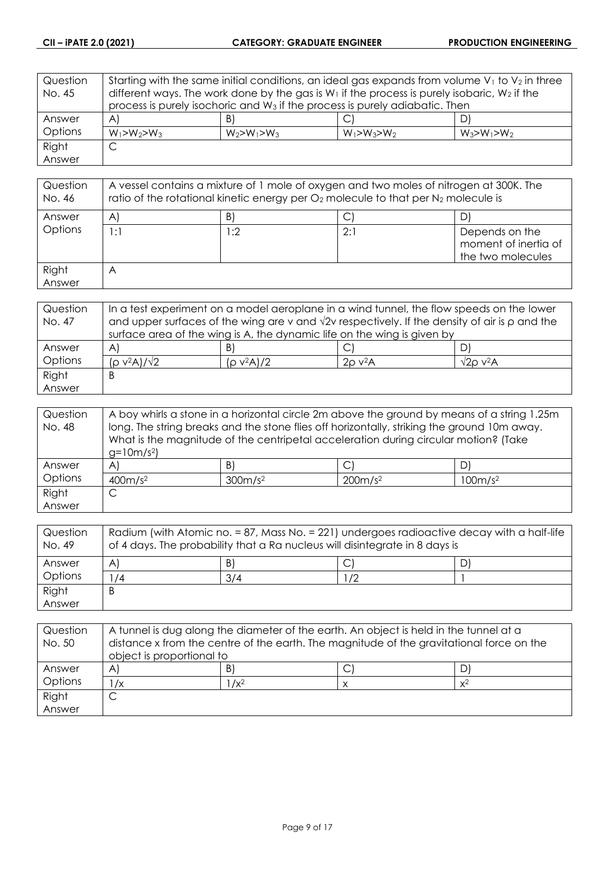| Question | Starting with the same initial conditions, an ideal gas expands from volume $V_1$ to $V_2$ in three |                   |                   |                   |
|----------|-----------------------------------------------------------------------------------------------------|-------------------|-------------------|-------------------|
| No. 45   | different ways. The work done by the gas is $W_1$ if the process is purely isobaric, $W_2$ if the   |                   |                   |                   |
|          | process is purely isochoric and W <sub>3</sub> if the process is purely adiabatic. Then             |                   |                   |                   |
| Answer   | A)                                                                                                  | B)                |                   | DI                |
| Options  | $W_1 > W_2 > W_3$                                                                                   | $W_2 > W_1 > W_3$ | $W_1 > W_3 > W_2$ | $W_3 > W_1 > W_2$ |
| Right    | С                                                                                                   |                   |                   |                   |
| Answer   |                                                                                                     |                   |                   |                   |

| Question<br>No. 46 | A vessel contains a mixture of 1 mole of oxygen and two moles of nitrogen at 300K. The<br>ratio of the rotational kinetic energy per $O_2$ molecule to that per $N_2$ molecule is |     |     |                                                             |
|--------------------|-----------------------------------------------------------------------------------------------------------------------------------------------------------------------------------|-----|-----|-------------------------------------------------------------|
| Answer             | $\mathsf{A}$                                                                                                                                                                      | B)  |     |                                                             |
| Options            | l : 1                                                                                                                                                                             | l:2 | 2:1 | Depends on the<br>moment of inertia of<br>the two molecules |
| Right<br>Answer    | $\forall$                                                                                                                                                                         |     |     |                                                             |

| Question | In a test experiment on a model aeroplane in a wind tunnel, the flow speeds on the lower                   |               |                          |                     |
|----------|------------------------------------------------------------------------------------------------------------|---------------|--------------------------|---------------------|
| No. 47   | and upper surfaces of the wing are v and $\sqrt{2}v$ respectively. If the density of air is $\rho$ and the |               |                          |                     |
|          | surface area of the wing is A, the dynamic life on the wing is given by                                    |               |                          |                     |
| Answer   | A                                                                                                          | B             |                          |                     |
| Options  | $(p v^2 A)/\sqrt{2}$                                                                                       | $(p v^2 A)/2$ | $2\rho$ v <sup>2</sup> A | $\sqrt{2}$ o v $2A$ |
| Right    | Β                                                                                                          |               |                          |                     |
| Answer   |                                                                                                            |               |                          |                     |

| Question | A boy whirls a stone in a horizontal circle 2m above the ground by means of a string 1.25m  |                 |                                                                                     |    |
|----------|---------------------------------------------------------------------------------------------|-----------------|-------------------------------------------------------------------------------------|----|
| No. 48   | long. The string breaks and the stone flies off horizontally, striking the ground 10m away. |                 |                                                                                     |    |
|          |                                                                                             |                 | What is the magnitude of the centripetal acceleration during circular motion? (Take |    |
|          | $g=10m/s^2$                                                                                 |                 |                                                                                     |    |
| Answer   | A'                                                                                          | $\vert B \vert$ | $\mathsf{C}^1$                                                                      | D. |
| Options  | 400m/s <sup>2</sup><br>300m/s <sup>2</sup><br>200m/s <sup>2</sup><br>100m/s <sup>2</sup>    |                 |                                                                                     |    |
| Right    | ◡                                                                                           |                 |                                                                                     |    |
| Answer   |                                                                                             |                 |                                                                                     |    |

| Question<br>No. 49 | Radium (with Atomic no. = 87, Mass No. = 221) undergoes radioactive decay with a half-life<br>of 4 days. The probability that a Ra nucleus will disintegrate in 8 days is |     |            |  |
|--------------------|---------------------------------------------------------------------------------------------------------------------------------------------------------------------------|-----|------------|--|
| Answer             | A                                                                                                                                                                         | B   | ◡          |  |
| Options            | 74                                                                                                                                                                        | 3/4 | $\sqrt{2}$ |  |
| Right              | B                                                                                                                                                                         |     |            |  |
| Answer             |                                                                                                                                                                           |     |            |  |

| Question<br>No. 50 | A tunnel is dug along the diameter of the earth. An object is held in the tunnel at a<br>distance x from the centre of the earth. The magnitude of the gravitational force on the<br>object is proportional to |         |  |       |
|--------------------|----------------------------------------------------------------------------------------------------------------------------------------------------------------------------------------------------------------|---------|--|-------|
| Answer             | A                                                                                                                                                                                                              | B       |  |       |
| Options            | $\sqrt{x}$                                                                                                                                                                                                     | $1/x^2$ |  | $x^2$ |
| Right              |                                                                                                                                                                                                                |         |  |       |
| Answer             |                                                                                                                                                                                                                |         |  |       |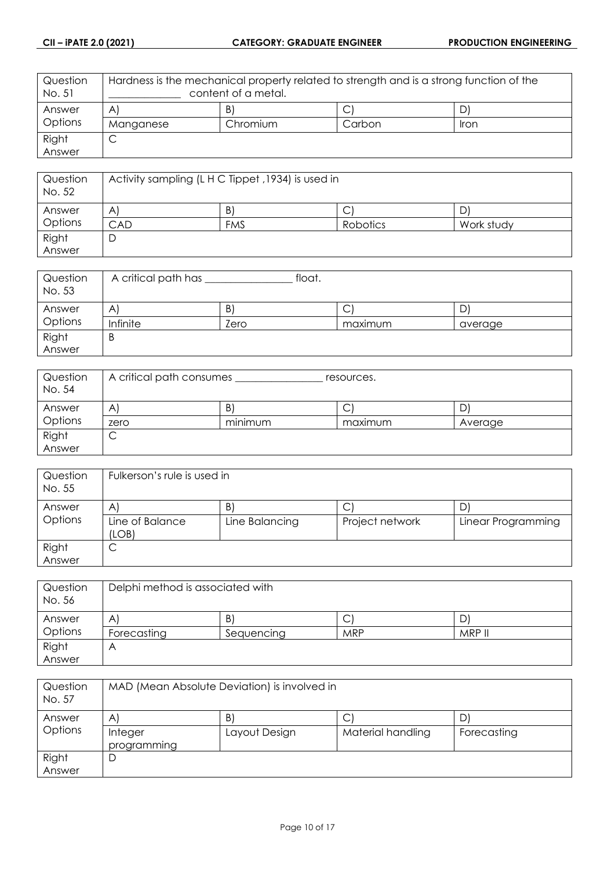| Question<br>No. 51 | Hardness is the mechanical property related to strength and is a strong function of the<br>content of a metal. |          |        |      |
|--------------------|----------------------------------------------------------------------------------------------------------------|----------|--------|------|
| Answer             | $\mathsf{A}$                                                                                                   | B        | ب      |      |
| Options            | Manganese                                                                                                      | Chromium | Carbon | lron |
| Right              | ◡                                                                                                              |          |        |      |
| Answer             |                                                                                                                |          |        |      |

| Question<br>No. 52 | Activity sampling (LHC Tippet, 1934) is used in |            |          |            |
|--------------------|-------------------------------------------------|------------|----------|------------|
| Answer             | A                                               | B)         | ◡        | ے ۔        |
| Options            | CAD                                             | <b>FMS</b> | Robotics | Work study |
| Right              | D                                               |            |          |            |
| Answer             |                                                 |            |          |            |

| Question<br>No. 53 | A critical path has | float.       |         |         |
|--------------------|---------------------|--------------|---------|---------|
| Answer             | Α                   | $\mathsf{B}$ | ◡       | D       |
| Options            | Infinite            | Zero         | maximum | average |
| Right              | Β                   |              |         |         |
| Answer             |                     |              |         |         |

| Question<br>No. 54 | A critical path consumes<br>resources. |                            |         |         |
|--------------------|----------------------------------------|----------------------------|---------|---------|
| Answer             | Α                                      | B)                         | ⌒<br>◡  | D       |
| Options            | zero                                   | $\cdot$ $\cdot$<br>minimum | maximum | Average |
| Right              | ◡                                      |                            |         |         |
| Answer             |                                        |                            |         |         |

| Question<br>No. 55 | Fulkerson's rule is used in              |                      |                      |                         |
|--------------------|------------------------------------------|----------------------|----------------------|-------------------------|
| Answer<br>Options  | $\mathsf{A}$<br>Line of Balance<br>(LOB) | B.<br>Line Balancing | ◡<br>Project network | D<br>Linear Programming |
| Right<br>Answer    | ◡                                        |                      |                      |                         |

| Question<br>No. 56 | Delphi method is associated with |            |            |        |
|--------------------|----------------------------------|------------|------------|--------|
| Answer             | Α                                | B          | ◡          |        |
| Options            | Forecasting                      | Sequencing | <b>MRP</b> | MRP II |
| Right              | Α                                |            |            |        |
| Answer             |                                  |            |            |        |

| Question<br>No. 57 | MAD (Mean Absolute Deviation) is involved in |               |                   |             |
|--------------------|----------------------------------------------|---------------|-------------------|-------------|
| Answer             | $\mathsf{A}^{\scriptscriptstyle{\parallel}}$ | B)            | С                 |             |
| Options            | Integer<br>programming                       | Layout Design | Material handling | Forecasting |
| Right              | D                                            |               |                   |             |
| Answer             |                                              |               |                   |             |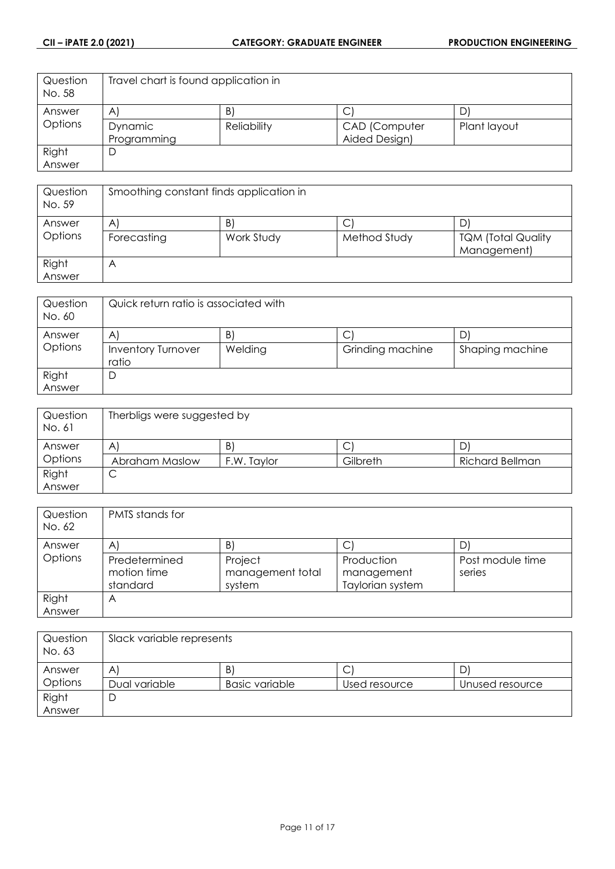| Question<br>No. 58 | Travel chart is found application in |                 |               |              |
|--------------------|--------------------------------------|-----------------|---------------|--------------|
| Answer             | $\mathsf{A}$                         | $\vert B \vert$ |               | D            |
| Options            | Dynamic                              | Reliability     | CAD (Computer | Plant layout |
|                    | Programming                          |                 | Aided Design) |              |
| Right              |                                      |                 |               |              |
| Answer             |                                      |                 |               |              |

| Question<br>No. 59 | Smoothing constant finds application in |                  |                   |                                          |
|--------------------|-----------------------------------------|------------------|-------------------|------------------------------------------|
| Answer<br>Options  | A<br>Forecasting                        | B)<br>Work Study | ◡<br>Method Study | <b>TQM (Total Quality</b><br>Management) |
| Right<br>Answer    | Α                                       |                  |                   |                                          |

| Question<br>No. 60 | Quick return ratio is associated with   |               |                       |                 |
|--------------------|-----------------------------------------|---------------|-----------------------|-----------------|
| Answer<br>Options  | A<br><b>Inventory Turnover</b><br>ratio | B.<br>Welding | C<br>Grinding machine | Shaping machine |
| Right<br>Answer    | D                                       |               |                       |                 |

| Question<br>No. 61 | Therbligs were suggested by |             |             |                        |
|--------------------|-----------------------------|-------------|-------------|------------------------|
| Answer             | Α                           | B)          | $\sim$<br>◡ | D                      |
| Options            | Abraham Maslow              | F.W. Taylor | Gilbreth    | <b>Richard Bellman</b> |
| Right              | ◡                           |             |             |                        |
| Answer             |                             |             |             |                        |

| Question<br>No. 62 | PMTS stands for |                  |                  |                  |
|--------------------|-----------------|------------------|------------------|------------------|
| Answer             | A               | B)               | С                |                  |
| Options            | Predetermined   | Project          | Production       | Post module time |
|                    | motion time     | management total | management       | series           |
|                    | standard        | system           | Taylorian system |                  |
| Right              | А               |                  |                  |                  |
| Answer             |                 |                  |                  |                  |

| Question<br>No. 63 | Slack variable represents |                       |               |                 |
|--------------------|---------------------------|-----------------------|---------------|-----------------|
| Answer             | Α                         | B)                    | ◡             | D               |
| Options            | Dual variable             | <b>Basic variable</b> | Used resource | Unused resource |
| Right              | ┕                         |                       |               |                 |
| Answer             |                           |                       |               |                 |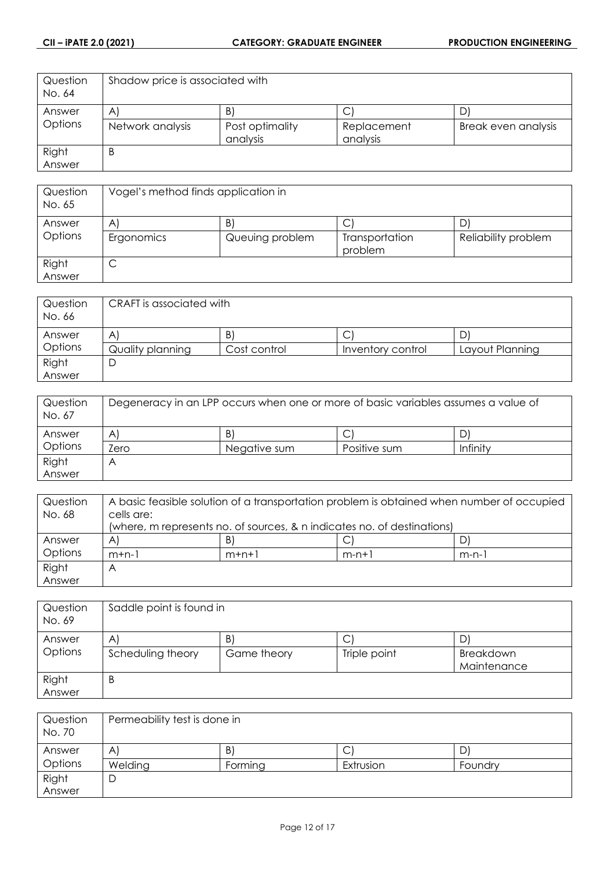| Question<br>No. 64 | Shadow price is associated with |                             |                         |                     |
|--------------------|---------------------------------|-----------------------------|-------------------------|---------------------|
| Answer             | A                               | B                           |                         | D                   |
| Options            | Network analysis                | Post optimality<br>analysis | Replacement<br>analysis | Break even analysis |
| Right              | B                               |                             |                         |                     |
| Answer             |                                 |                             |                         |                     |

| Question<br>No. 65 | Vogel's method finds application in |                                 |                                |                     |
|--------------------|-------------------------------------|---------------------------------|--------------------------------|---------------------|
| Answer<br>Options  | A<br>Ergonomics                     | $\mathsf{B}$<br>Queuing problem | C<br>Transportation<br>problem | Reliability problem |
| Right<br>Answer    | ◡                                   |                                 |                                |                     |

| Question<br>No. 66 | CRAFT is associated with |                 |                   |                 |
|--------------------|--------------------------|-----------------|-------------------|-----------------|
| Answer             | A                        | $\vert B \vert$ | ◡                 |                 |
| Options            | Quality planning         | Cost control    | Inventory control | Layout Planning |
| Right              | D                        |                 |                   |                 |
| Answer             |                          |                 |                   |                 |

| Question<br>No. 67 | Degeneracy in an LPP occurs when one or more of basic variables assumes a value of |              |              |          |
|--------------------|------------------------------------------------------------------------------------|--------------|--------------|----------|
| Answer             | A                                                                                  | B            |              | D        |
| Options            | Zero                                                                               | Negative sum | Positive sum | Infinity |
| Right              | Α                                                                                  |              |              |          |
| Answer             |                                                                                    |              |              |          |

| Question | A basic feasible solution of a transportation problem is obtained when number of occupied |         |         |         |
|----------|-------------------------------------------------------------------------------------------|---------|---------|---------|
| No. 68   | cells are:                                                                                |         |         |         |
|          | (where, m represents no. of sources, & n indicates no. of destinations)                   |         |         |         |
| Answer   | A                                                                                         | B)      |         |         |
| Options  | $m+n-1$                                                                                   | $m+n+1$ | $m-n+1$ | $m-n-1$ |
| Right    | Α                                                                                         |         |         |         |
| Answer   |                                                                                           |         |         |         |

| Question<br>No. 69 | Saddle point is found in |                   |                   |                                |
|--------------------|--------------------------|-------------------|-------------------|--------------------------------|
| Answer<br>Options  | A<br>Scheduling theory   | B.<br>Game theory | С<br>Triple point | D'<br>Breakdown<br>Maintenance |
| Right<br>Answer    | B                        |                   |                   |                                |

| Question<br>No. 70 | Permeability test is done in |         |                               |         |
|--------------------|------------------------------|---------|-------------------------------|---------|
| Answer             | A'                           | B)      | $\overline{\phantom{0}}$<br>◡ | D       |
| Options            | Welding                      | Forming | Extrusion                     | Foundry |
| Right              | D                            |         |                               |         |
| Answer             |                              |         |                               |         |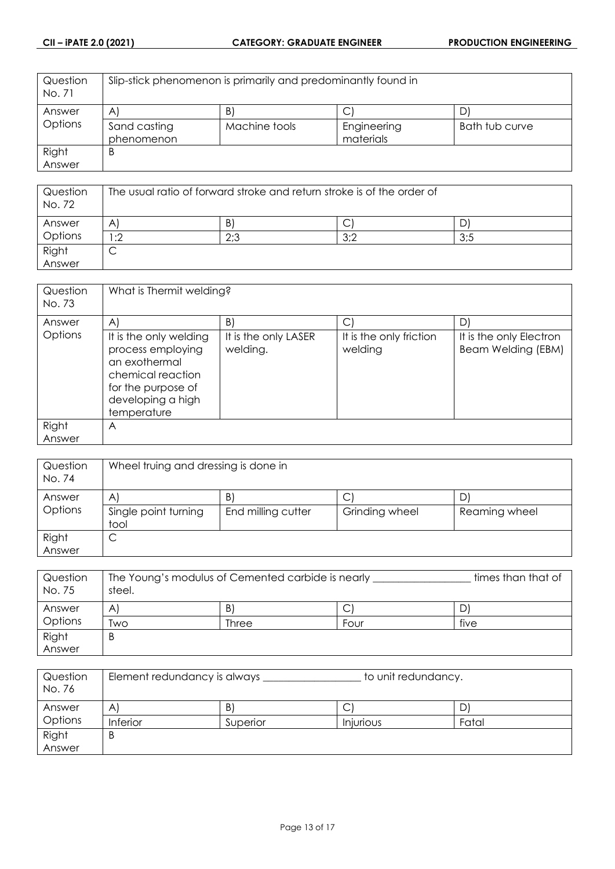| Question<br>No. 71 | Slip-stick phenomenon is primarily and predominantly found in |               |             |                |
|--------------------|---------------------------------------------------------------|---------------|-------------|----------------|
| Answer             | AI                                                            | B)            |             | D'             |
| Options            | Sand casting                                                  | Machine tools | Engineering | Bath tub curve |
|                    | phenomenon                                                    |               | materials   |                |
| Right              | Β                                                             |               |             |                |
| Answer             |                                                               |               |             |                |

| Question<br>No. 72 | The usual ratio of forward stroke and return stroke is of the order of |     |     |     |
|--------------------|------------------------------------------------------------------------|-----|-----|-----|
| Answer             | Α                                                                      | B)  | ◡   |     |
| Options            | :2                                                                     | 2:3 | 3:2 | 3:5 |
| Right              | ◡                                                                      |     |     |     |
| Answer             |                                                                        |     |     |     |

| B)<br>$\mathsf{C}$<br>D)<br>$\mathsf{A}$<br>Answer<br>Options<br>It is the only friction<br>It is the only welding<br>It is the only LASER<br>It is the only Electron<br>Beam Welding (EBM)<br>process employing<br>welding.<br>welding<br>an exothermal<br>chemical reaction |  |
|-------------------------------------------------------------------------------------------------------------------------------------------------------------------------------------------------------------------------------------------------------------------------------|--|
|                                                                                                                                                                                                                                                                               |  |
| for the purpose of<br>developing a high<br>temperature                                                                                                                                                                                                                        |  |
| Right<br>Α<br>Answer                                                                                                                                                                                                                                                          |  |

| Question<br>No. 74 | Wheel truing and dressing is done in         |                                       |                     |                     |
|--------------------|----------------------------------------------|---------------------------------------|---------------------|---------------------|
| Answer<br>Options  | $\mathsf{A}$<br>Single point turning<br>tool | $\vert B \vert$<br>End milling cutter | ◡<br>Grinding wheel | D.<br>Reaming wheel |
| Right<br>Answer    | ◡                                            |                                       |                     |                     |

| Question | The Young's modulus of Cemented carbide is nearly | times than that of |      |      |
|----------|---------------------------------------------------|--------------------|------|------|
| No. 75   | steel.                                            |                    |      |      |
| Answer   | A                                                 | B.                 | ◡    | D'   |
| Options  | Two                                               | Three              | Four | five |
| Right    | Β                                                 |                    |      |      |
| Answer   |                                                   |                    |      |      |

| Question<br>No. 76 | Element redundancy is always |          |                  | to unit redundancy. |  |
|--------------------|------------------------------|----------|------------------|---------------------|--|
| Answer             | A'                           | B)       | ◡                | D                   |  |
| Options            | <b>Inferior</b>              | Superior | <b>Injurious</b> | Fatal               |  |
| Right              | B                            |          |                  |                     |  |
| Answer             |                              |          |                  |                     |  |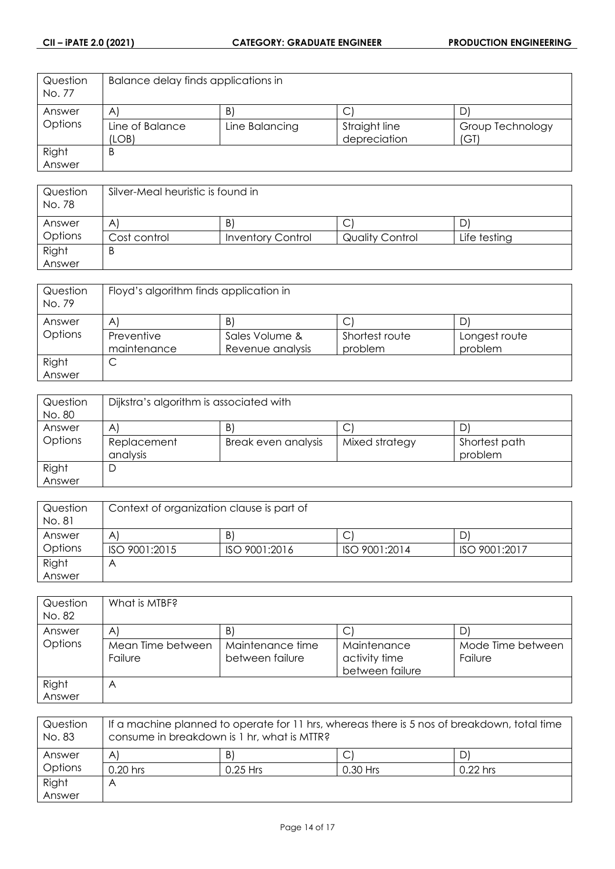| Question<br>No. 77 | Balance delay finds applications in |                |               |                  |
|--------------------|-------------------------------------|----------------|---------------|------------------|
| Answer             | $\mathsf{A}$                        | B              | ◡             | D                |
| Options            | Line of Balance                     | Line Balancing | Straight line | Group Technology |
|                    | (LOB)                               |                | depreciation  | (GI)             |
| Right              | В                                   |                |               |                  |
| Answer             |                                     |                |               |                  |

| Question<br>No. 78 | Silver-Meal heuristic is found in |                          |                        |              |
|--------------------|-----------------------------------|--------------------------|------------------------|--------------|
| Answer             | Α                                 | B)                       | ◡                      | D            |
| Options            | Cost control                      | <b>Inventory Control</b> | <b>Quality Control</b> | Life testing |
| Right              | Β                                 |                          |                        |              |
| Answer             |                                   |                          |                        |              |

| Question<br>No. 79 | Floyd's algorithm finds application in       |                  |                |               |
|--------------------|----------------------------------------------|------------------|----------------|---------------|
| Answer             | $\mathsf{A}^{\scriptscriptstyle{\parallel}}$ | B)               | C              |               |
| Options            | Preventive                                   | Sales Volume &   | Shortest route | Longest route |
|                    | maintenance                                  | Revenue analysis | problem        | problem       |
| Right              | ◡                                            |                  |                |               |
| Answer             |                                              |                  |                |               |

| Question<br>No. 80 | Dijkstra's algorithm is associated with |                     |                |                          |
|--------------------|-----------------------------------------|---------------------|----------------|--------------------------|
| Answer             | Α                                       | B)                  | ◡              |                          |
| Options            | Replacement<br>analysis                 | Break even analysis | Mixed strategy | Shortest path<br>problem |
| Right              | ◡                                       |                     |                |                          |
| Answer             |                                         |                     |                |                          |

| Question<br>No. 81 | Context of organization clause is part of |               |               |               |
|--------------------|-------------------------------------------|---------------|---------------|---------------|
| Answer             | A                                         | B             | ◡             |               |
| Options            | ISO 9001:2015                             | ISO 9001:2016 | ISO 9001:2014 | ISO 9001:2017 |
| Right              | ۳                                         |               |               |               |
| Answer             |                                           |               |               |               |

| Question<br>No. 82 | What is MTBF?                |                                     |                                                 |                              |
|--------------------|------------------------------|-------------------------------------|-------------------------------------------------|------------------------------|
| Answer             | A                            | B)                                  | C                                               |                              |
| Options            | Mean Time between<br>Failure | Maintenance time<br>between failure | Maintenance<br>activity time<br>between failure | Mode Time between<br>Failure |
| Right<br>Answer    | A                            |                                     |                                                 |                              |

| Question<br>No. 83 | If a machine planned to operate for 11 hrs, whereas there is 5 nos of breakdown, total time<br>consume in breakdown is 1 hr, what is MTTR? |            |            |            |  |
|--------------------|--------------------------------------------------------------------------------------------------------------------------------------------|------------|------------|------------|--|
| Answer             | B)<br>$\mathsf{A}^{\cdot}$<br>$\mathsf{D}'$                                                                                                |            |            |            |  |
| Options            | $0.20$ hrs                                                                                                                                 | $0.25$ Hrs | $0.30$ Hrs | $0.22$ hrs |  |
| Right              | Α                                                                                                                                          |            |            |            |  |
| Answer             |                                                                                                                                            |            |            |            |  |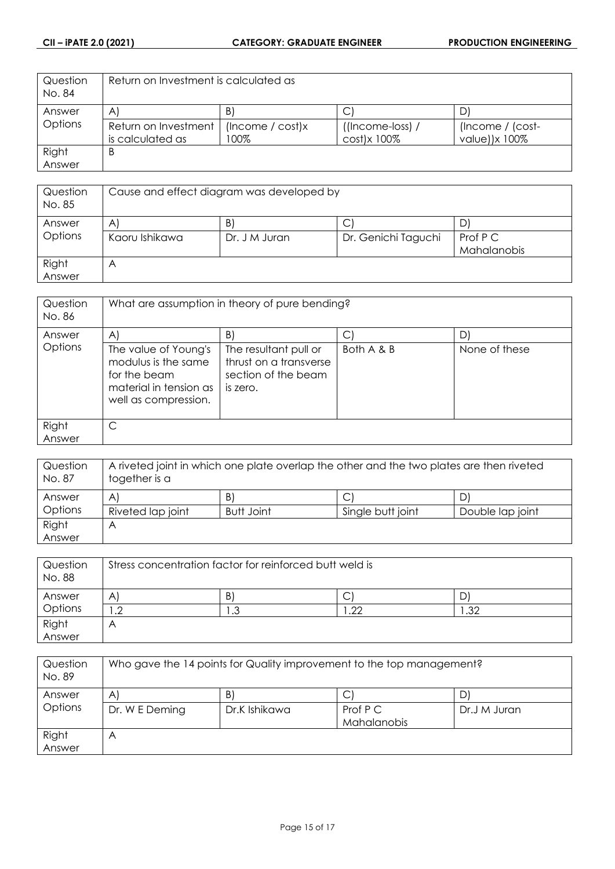| Question<br>No. 84 | Return on Investment is calculated as |                  |                     |                  |
|--------------------|---------------------------------------|------------------|---------------------|------------------|
| Answer             | A                                     | B                |                     |                  |
| Options            | Return on Investment                  | (Income / cost)x | $($ (Income-loss) / | (Income / (cost- |
|                    | is calculated as                      | 100%             | $cost$ )x 100%      | value))x 100%    |
| Right              | B                                     |                  |                     |                  |
| Answer             |                                       |                  |                     |                  |

| Question<br>No. 85 | Cause and effect diagram was developed by |                    |                     |                         |
|--------------------|-------------------------------------------|--------------------|---------------------|-------------------------|
| Answer<br>Options  | $\mathsf{A}$<br>Kaoru Ishikawa            | B<br>Dr. J M Juran | Dr. Genichi Taguchi | Prof P C<br>Mahalanobis |
| Right<br>Answer    | A                                         |                    |                     |                         |

| Question<br>No. 86 | What are assumption in theory of pure bending?                                                                |                                                                                    |            |               |
|--------------------|---------------------------------------------------------------------------------------------------------------|------------------------------------------------------------------------------------|------------|---------------|
| Answer             | $\mathsf{A}$                                                                                                  | B)                                                                                 |            | D             |
| Options            | The value of Young's<br>modulus is the same<br>for the beam<br>material in tension as<br>well as compression. | The resultant pull or<br>thrust on a transverse<br>section of the beam<br>is zero. | Both A & B | None of these |
| Right              | С                                                                                                             |                                                                                    |            |               |
| Answer             |                                                                                                               |                                                                                    |            |               |

| Question<br>No. 87 | A riveted joint in which one plate overlap the other and the two plates are then riveted<br>together is a |            |                   |                  |
|--------------------|-----------------------------------------------------------------------------------------------------------|------------|-------------------|------------------|
| Answer             | A                                                                                                         | B)         | Ć                 | D)               |
| Options            | Riveted lap joint                                                                                         | Butt Joint | Single butt joint | Double lap joint |
| Right              | Α                                                                                                         |            |                   |                  |
| Answer             |                                                                                                           |            |                   |                  |

| Question<br>No. 88 | Stress concentration factor for reinforced butt weld is |                 |     |             |
|--------------------|---------------------------------------------------------|-----------------|-----|-------------|
| Answer             | А                                                       | $\vert B \vert$ | ◡   | ◡           |
| Options            | $\overline{1}$                                          | . . ب           | .22 | $\cdot$ .32 |
| Right              |                                                         |                 |     |             |
| Answer             |                                                         |                 |     |             |

| Question<br>No. 89 | Who gave the 14 points for Quality improvement to the top management? |                     |                         |              |
|--------------------|-----------------------------------------------------------------------|---------------------|-------------------------|--------------|
| Answer<br>Options  | A<br>Dr. W E Deming                                                   | B)<br>Dr.K Ishikawa | Prof P C<br>Mahalanobis | Dr.J M Juran |
| Right<br>Answer    | $\forall$                                                             |                     |                         |              |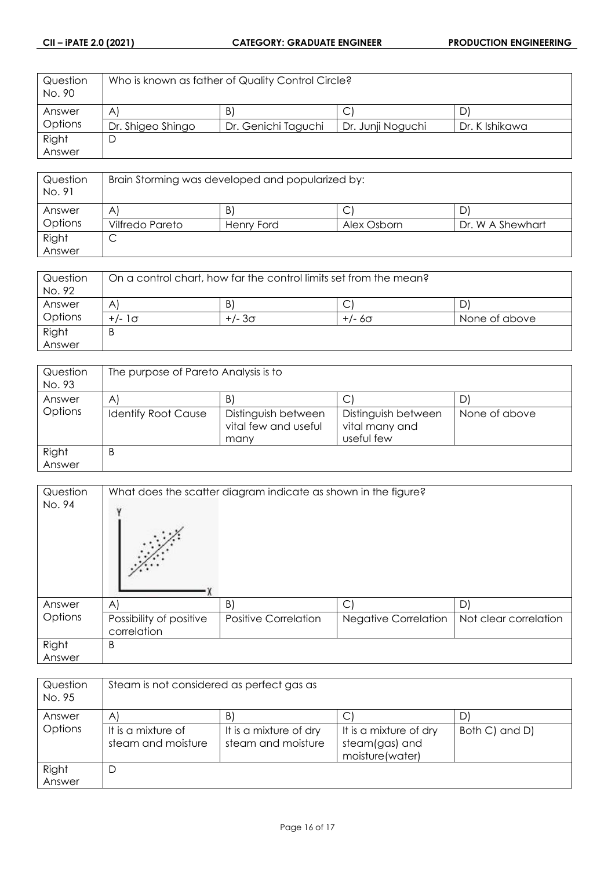| Question<br>No. 90 | Who is known as father of Quality Control Circle? |                     |                   |                |
|--------------------|---------------------------------------------------|---------------------|-------------------|----------------|
| Answer             | AI                                                | B)                  |                   | D              |
| Options            | Dr. Shigeo Shingo                                 | Dr. Genichi Taguchi | Dr. Junji Noguchi | Dr. K Ishikawa |
| Right              | D                                                 |                     |                   |                |
| Answer             |                                                   |                     |                   |                |

| Question<br>No. 91 | Brain Storming was developed and popularized by: |            |             |                  |
|--------------------|--------------------------------------------------|------------|-------------|------------------|
| Answer             | A                                                | B)         |             |                  |
| Options            | Vilfredo Pareto                                  | Henry Ford | Alex Osborn | Dr. W A Shewhart |
| Right              | ◡                                                |            |             |                  |
| Answer             |                                                  |            |             |                  |

| Question<br>No. 92 | On a control chart, how far the control limits set from the mean? |               |               |               |
|--------------------|-------------------------------------------------------------------|---------------|---------------|---------------|
| Answer             | B)<br>$\overline{A}$<br>◡                                         |               |               |               |
| Options            | $+/-1$                                                            | $+/- 3\sigma$ | $+/- 6\sigma$ | None of above |
| Right              | ь                                                                 |               |               |               |
| Answer             |                                                                   |               |               |               |

| Question         | The purpose of Pareto Analysis is to |                                                     |                                                     |               |
|------------------|--------------------------------------|-----------------------------------------------------|-----------------------------------------------------|---------------|
| No. 93<br>Answer | $\mathsf{A}$                         | B                                                   |                                                     | D             |
| Options          | <b>Identify Root Cause</b>           | Distinguish between<br>vital few and useful<br>many | Distinguish between<br>vital many and<br>useful few | None of above |
| Right<br>Answer  | B                                    |                                                     |                                                     |               |

| Question<br>No. 94 |                                        | What does the scatter diagram indicate as shown in the figure? |                             |                       |
|--------------------|----------------------------------------|----------------------------------------------------------------|-----------------------------|-----------------------|
| Answer             | $\mathsf{A}$                           | B)                                                             | C                           | D                     |
| Options            | Possibility of positive<br>correlation | <b>Positive Correlation</b>                                    | <b>Negative Correlation</b> | Not clear correlation |
| Right              | B                                      |                                                                |                             |                       |
| Answer             |                                        |                                                                |                             |                       |

| Question<br>No. 95 | Steam is not considered as perfect gas as |                                              |                                                             |                |
|--------------------|-------------------------------------------|----------------------------------------------|-------------------------------------------------------------|----------------|
| Answer             | A                                         | B)                                           | С                                                           |                |
| Options            | It is a mixture of<br>steam and moisture  | It is a mixture of dry<br>steam and moisture | It is a mixture of dry<br>steam(gas) and<br>moisture(water) | Both C) and D) |
| Right<br>Answer    | D                                         |                                              |                                                             |                |